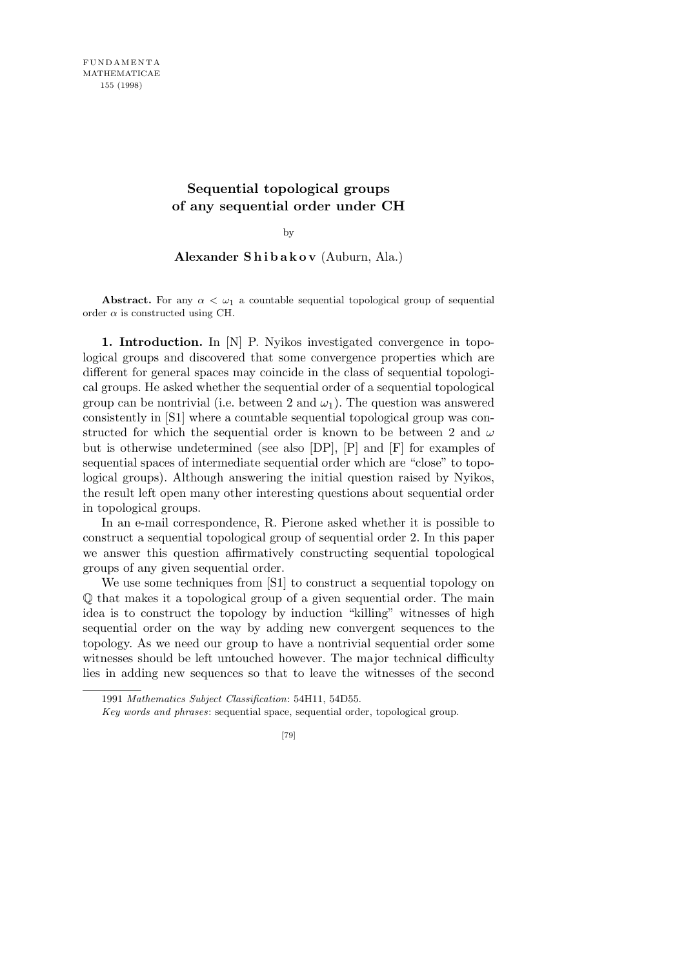## **Sequential topological groups of any sequential order under CH**

by

## **Alexander S h i b a k o v** (Auburn, Ala.)

**Abstract.** For any  $\alpha < \omega_1$  a countable sequential topological group of sequential order  $\alpha$  is constructed using CH.

**1. Introduction.** In [N] P. Nyikos investigated convergence in topological groups and discovered that some convergence properties which are different for general spaces may coincide in the class of sequential topological groups. He asked whether the sequential order of a sequential topological group can be nontrivial (i.e. between 2 and  $\omega_1$ ). The question was answered consistently in [S1] where a countable sequential topological group was constructed for which the sequential order is known to be between 2 and *ω* but is otherwise undetermined (see also [DP], [P] and [F] for examples of sequential spaces of intermediate sequential order which are "close" to topological groups). Although answering the initial question raised by Nyikos, the result left open many other interesting questions about sequential order in topological groups.

In an e-mail correspondence, R. Pierone asked whether it is possible to construct a sequential topological group of sequential order 2. In this paper we answer this question affirmatively constructing sequential topological groups of any given sequential order.

We use some techniques from [S1] to construct a sequential topology on Q that makes it a topological group of a given sequential order. The main idea is to construct the topology by induction "killing" witnesses of high sequential order on the way by adding new convergent sequences to the topology. As we need our group to have a nontrivial sequential order some witnesses should be left untouched however. The major technical difficulty lies in adding new sequences so that to leave the witnesses of the second

<sup>1991</sup> *Mathematics Subject Classification*: 54H11, 54D55.

*Key words and phrases*: sequential space, sequential order, topological group.

<sup>[79]</sup>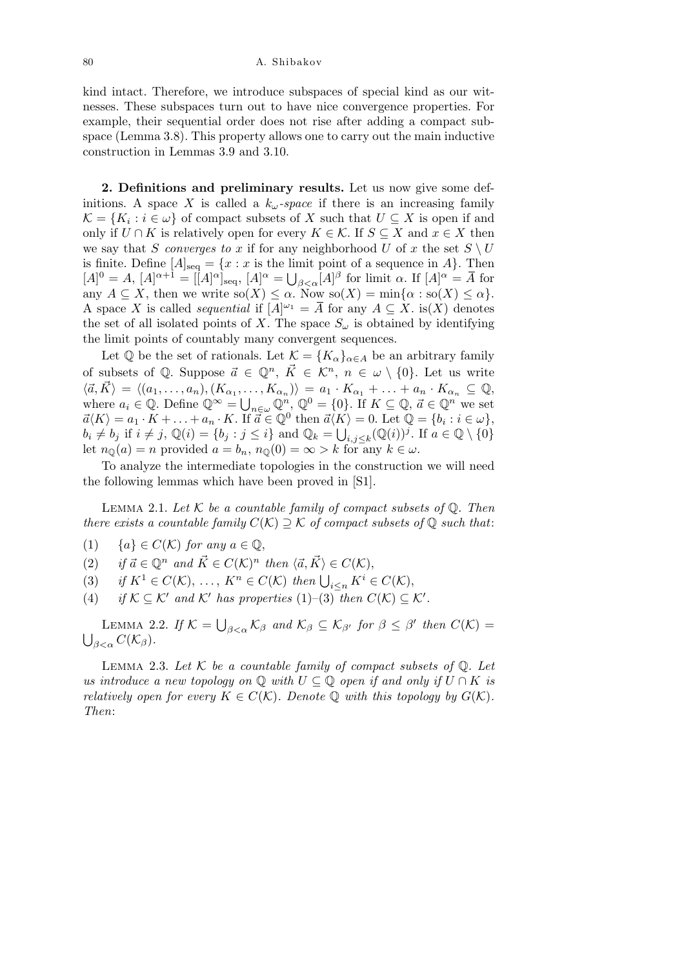80 A. Shibakov

kind intact. Therefore, we introduce subspaces of special kind as our witnesses. These subspaces turn out to have nice convergence properties. For example, their sequential order does not rise after adding a compact subspace (Lemma 3.8). This property allows one to carry out the main inductive construction in Lemmas 3.9 and 3.10.

**2. Definitions and preliminary results.** Let us now give some definitions. A space *X* is called a  $k_{\omega}$ -space if there is an increasing family  $\mathcal{K} = \{K_i : i \in \omega\}$  of compact subsets of *X* such that  $U \subseteq X$  is open if and only if *U* ∩ *K* is relatively open for every  $K \in \mathcal{K}$ . If  $S \subseteq X$  and  $x \in X$  then we say that *S converges to x* if for any neighborhood *U* of *x* the set  $S \setminus U$ is finite. Define  $[A]_{seq} = \{x : x \text{ is the limit point of a sequence in } A\}$ . Then  $[A]^{0} = A, [A]^{\alpha+1} = [[A]^{\alpha}]_{\text{seq}} = \{x : x \text{ is the in } [A]^{0} = A, [A]^{\alpha+1} = [[A]^{\alpha}]_{\text{seq}}, [A]^{\alpha} = \bigcup$ *β*<sub> $\lt$ *α*</sub>[*A*]<sup>*β*</sup> for limit *α*. If [*A*]<sup> $\alpha$ </sup> =  $\overline{A}$  for any  $A \subseteq X$ , then we write  $\operatorname{so}(X) \leq \alpha$ . Now  $\operatorname{so}(X) = \min\{\alpha : \operatorname{so}(X) \leq \alpha\}.$ A space *X* is called *sequential* if  $[A]^{\omega_1} = \overline{A}$  for any  $A \subseteq X$ . is(X) denotes the set of all isolated points of *X*. The space  $S_\omega$  is obtained by identifying the limit points of countably many convergent sequences.

Let  $\mathbb{Q}$  be the set of rationals. Let  $\mathcal{K} = \{K_{\alpha}\}_{{\alpha \in A}}$  be an arbitrary family of subsets of Q. Suppose  $\vec{a} \in \mathbb{Q}^n$ ,  $\vec{K} \in \mathcal{K}^n$ ,  $n \in \omega \setminus \{0\}$ . Let us write  $\langle \vec{a}, \vec{K} \rangle = \langle (a_1, \ldots, a_n), (K_{\alpha_1}, \ldots, K_{\alpha_n}) \rangle = a_1 \cdot K_{\alpha_1} + \ldots + a_n \cdot K_{\alpha_n} \subseteq \mathbb{Q},$ where  $a_i \in \mathbb{Q}$ . Define  $\mathbb{Q}^{\infty} = \bigcup_{n \in \omega} \mathbb{Q}^n$ ,  $\mathbb{Q}^0 = \{0\}$ . If  $K \subseteq \mathbb{Q}$ ,  $\vec{a} \in \mathbb{Q}^n$  we set  $\vec{a}\langle K\rangle = a_1 \cdot K + \ldots + a_n \cdot K$ . If  $\vec{a} \in \mathbb{Q}^0$  then  $\vec{a}\langle K\rangle = 0$ . Let  $\mathbb{Q} = \{b_i : i \in \omega\}$ ,  $b_i \neq b_j$  if  $i \neq j$ ,  $\mathbb{Q}(i) = \{b_j : j \leq i\}$  and  $\mathbb{Q}_k = \bigcup_{i,j \leq k} (\mathbb{Q}(i))^j$ . If  $a \in \mathbb{Q} \setminus \{0\}$ let  $n_{\mathbb{Q}}(a) = n$  provided  $a = b_n$ ,  $n_{\mathbb{Q}}(0) = \infty > k$  for any  $k \in \omega$ .

To analyze the intermediate topologies in the construction we will need the following lemmas which have been proved in [S1].

LEMMA 2.1. Let  $K$  be a countable family of compact subsets of  $\mathbb{Q}$ . Then *there exists a countable family*  $C(K) \supseteq K$  *of compact subsets of*  $\mathbb{Q}$  *such that:* 

- (1)  ${a} \in C(K)$  *for any*  $a \in \mathbb{Q}$ ,
- $(i)$  *if*  $\vec{a} \in \mathbb{Q}^n$  and  $\vec{K} \in C(\mathcal{K})^n$  then  $\langle \vec{a}, \vec{K} \rangle \in C(\mathcal{K}),$
- (3) if  $K^1 \in C(\mathcal{K})$ , ...,  $K^n \in C(\mathcal{K})$  then  $\bigcup_{i \leq n} K^i \in C(\mathcal{K})$ ,<br>(3) if  $K^1 \in C(\mathcal{K})$ , ...,  $K^n \in C(\mathcal{K})$  then  $\bigcup_{i \leq n} K^i \in C(\mathcal{K})$ ,
- (4) *if*  $K \subseteq K'$  *and*  $K'$  *has properties* (1)–(3) *then*  $C(K) \subseteq K'$ *.*

LEMMA 2.2. If  $K =$ S  $\beta_{\leq \alpha}$   $\mathcal{K}_{\beta}$  and  $\mathcal{K}_{\beta} \subseteq \mathcal{K}_{\beta'}$  for  $\beta \leq \beta'$  then  $C(\mathcal{K}) =$ S  $\beta < \alpha$   $C(\mathcal{K}_{\beta})$ .

Lemma 2.3. *Let K be a countable family of compact subsets of* Q*. Let us introduce a new topology on*  $\mathbb Q$  *with*  $U \subseteq \mathbb Q$  *open if and only if*  $U \cap K$  *is relatively open for every*  $K \in C(K)$ *. Denote* Q *with this topology by*  $G(K)$ *. Then*: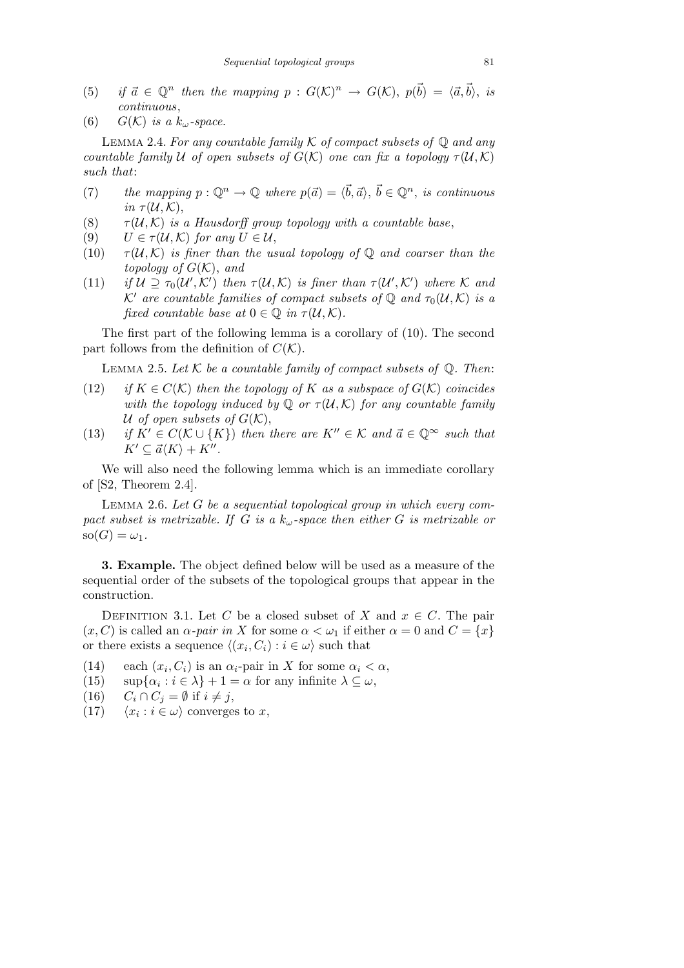- (5) *if*  $\vec{a} \in \mathbb{Q}^n$  then the mapping  $p : G(\mathcal{K})^n \to G(\mathcal{K}), p(\vec{b}) = \langle \vec{a}, \vec{b} \rangle$ , is *continuous*,
- (6)  $G(K)$  *is a*  $k_{\omega}$ -space.

Lemma 2.4. *For any countable family K of compact subsets of* Q *and any countable family U of open subsets of*  $G(K)$  *one can fix a topology*  $\tau(\mathcal{U},\mathcal{K})$ *such that*:

- (7) *the mapping*  $p: \mathbb{Q}^n \to \mathbb{Q}$  *where*  $p(\vec{a}) = \langle \vec{b}, \vec{a} \rangle$ ,  $\vec{b} \in \mathbb{Q}^n$ , *is continuous in*  $\tau(\mathcal{U}, \mathcal{K})$ ,
- (8)  $\tau(\mathcal{U}, \mathcal{K})$  *is a Hausdorff group topology with a countable base*,
- (9)  $U \in \tau(\mathcal{U}, \mathcal{K})$  for any  $U \in \mathcal{U}$ ,
- (10)  $\tau(\mathcal{U},\mathcal{K})$  *is finer than the usual topology of*  $\mathbb{Q}$  *and coarser than the topology of*  $G(K)$ , and
- (11) if  $\mathcal{U} \supseteq \tau_0(\mathcal{U}',\mathcal{K}')$  then  $\tau(\mathcal{U},\mathcal{K})$  is finer than  $\tau(\mathcal{U}',\mathcal{K}')$  where  $\mathcal K$  and *K*<sup>*i*</sup> are countable families of compact subsets of  $\mathbb{Q}$  *and*  $\tau_0(\mathcal{U}, \mathcal{K})$  *is a fixed countable base at*  $0 \in \mathbb{Q}$  *in*  $\tau(\mathcal{U}, \mathcal{K})$ *.*

The first part of the following lemma is a corollary of (10). The second part follows from the definition of  $C(\mathcal{K})$ .

LEMMA 2.5. Let  $K$  be a countable family of compact subsets of  $\mathbb{Q}$ . Then:

- (12) *if*  $K \in C(K)$  *then the topology of*  $K$  *as a subspace of*  $G(K)$  *coincides with the topology induced by*  $\mathbb Q$  *or*  $\tau(\mathcal U,\mathcal K)$  *for any countable family U* of open subsets of  $G(K)$ ,
- (13) *if*  $K' \in C(\mathcal{K} \cup \{K\})$  *then there are*  $K'' \in \mathcal{K}$  *and*  $\vec{a} \in \mathbb{Q}^{\infty}$  *such that*  $K' \subseteq \vec{a}\langle K \rangle + K''$ .

We will also need the following lemma which is an immediate corollary of [S2, Theorem 2.4].

Lemma 2.6. *Let G be a sequential topological group in which every compact subset is metrizable. If G is a kω-space then either G is metrizable or*  $\text{so}(G) = \omega_1$ .

**3. Example.** The object defined below will be used as a measure of the sequential order of the subsets of the topological groups that appear in the construction.

DEFINITION 3.1. Let *C* be a closed subset of *X* and  $x \in C$ . The pair  $(x, C)$  is called an  $\alpha$ -pair in X for some  $\alpha < \omega_1$  if either  $\alpha = 0$  and  $C = \{x\}$ or there exists a sequence  $\langle (x_i, C_i) : i \in \omega \rangle$  such that

- (14) each  $(x_i, C_i)$  is an  $\alpha_i$ -pair in *X* for some  $\alpha_i < \alpha$ ,
- (15)  $\sup{\alpha_i : i \in \lambda} + 1 = \alpha$  for any infinite  $\lambda \subseteq \omega$ ,
- $(C_i \cap C_j = \emptyset \text{ if } i \neq j,$
- $(17)$  $\langle x_i : i \in \omega \rangle$  converges to x,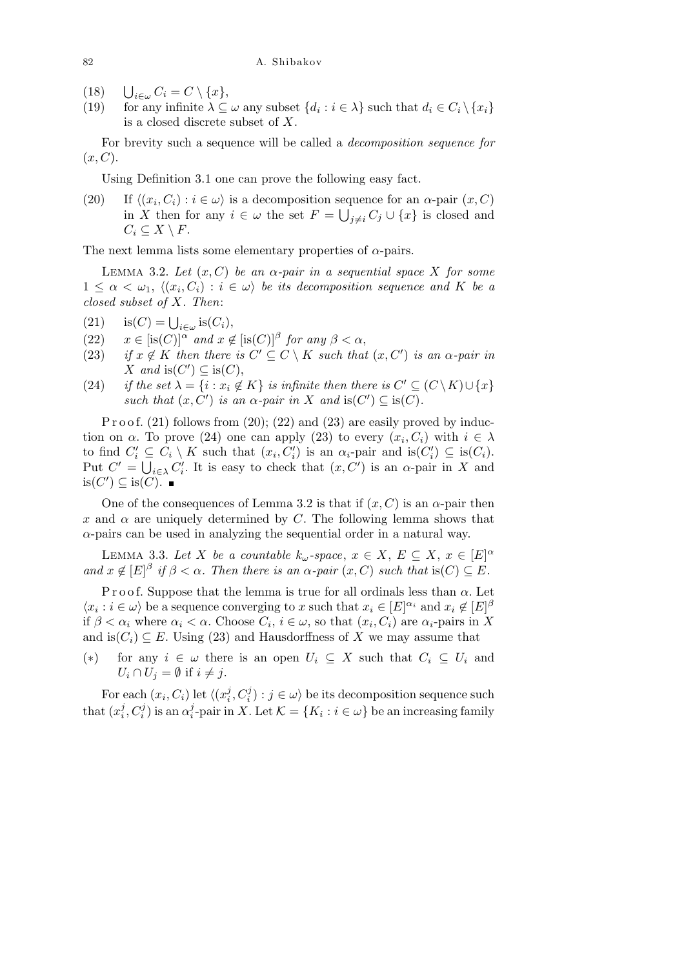- $(18)$  $\bigcup_{i \in \omega} C_i = C \setminus \{x\},\$
- (19) for any infinite  $\lambda \subseteq \omega$  any subset  $\{d_i : i \in \lambda\}$  such that  $d_i \in C_i \setminus \{x_i\}$ is a closed discrete subset of *X*.

For brevity such a sequence will be called a *decomposition sequence for* (*x, C*).

Using Definition 3.1 one can prove the following easy fact.

(20) If  $\langle (x_i, C_i) : i \in \omega \rangle$  is a decomposition sequence for an  $\alpha$ -pair  $(x, C)$ in *X* then for any  $i \in \omega$  the set  $F = \bigcup_{j \neq i} C_j \cup \{x\}$  is closed and  $C_i \subseteq X \setminus F$ .

The next lemma lists some elementary properties of *α*-pairs.

LEMMA 3.2. Let  $(x, C)$  be an  $\alpha$ -pair in a sequential space X for some  $1 \leq \alpha < \omega_1, \ \langle (x_i, C_i) : i \in \omega \rangle$  *be its decomposition sequence and* K *be a closed subset of X. Then*:

- (21)  $\operatorname{is}(C) = \bigcup_{i \in \omega} \operatorname{is}(C_i),$
- (22)  $x \in [is(C)]^{\alpha}$  *and*  $x \notin [is(C)]^{\beta}$  *for any*  $\beta < \alpha$ ,
- (23) *if*  $x \notin K$  *then there is*  $C' \subseteq C \setminus K$  *such that*  $(x, C')$  *is an*  $\alpha$ -pair *in*  $X$  *and* is( $C'$ )  $\subseteq$  is( $C$ ),
- (24) *if the set*  $\lambda = \{i : x_i \notin K\}$  *is infinite then there is*  $C' \subseteq (C \setminus K) \cup \{x\}$ *such that*  $(x, C')$  *is an*  $\alpha$ *-pair in*  $X$  *and* is $(C') \subseteq$  is $(C)$ *.*

P r o o f.  $(21)$  follows from  $(20)$ ;  $(22)$  and  $(23)$  are easily proved by induction on *α*. To prove (24) one can apply (23) to every  $(x_i, C_i)$  with  $i \in \lambda$ to find  $C'_i \subseteq C_i \setminus K$  such that  $(x_i, C'_i)$  is an  $\alpha_i$ -pair and is $(C'_i) \subseteq \text{is}(C_i)$ . Put  $C' = \bigcup_{i \in \lambda} C'_i$ . It is easy to check that  $(x, C')$  is an  $\alpha$ -pair in *X* and  $is(C') \subseteq is(C)$ .

One of the consequences of Lemma 3.2 is that if  $(x, C)$  is an  $\alpha$ -pair then *x* and  $\alpha$  are uniquely determined by *C*. The following lemma shows that *α*-pairs can be used in analyzing the sequential order in a natural way.

LEMMA 3.3. Let *X* be a countable  $k_{\omega}$ -space,  $x \in X$ ,  $E \subseteq X$ ,  $x \in [E]^{\alpha}$ *and*  $x \notin [E]^{\beta}$  *if*  $\beta < \alpha$ *. Then there is an*  $\alpha$ -*pair*  $(x, C)$  *such that* is(*C*)  $\subseteq E$ *.* 

P r o o f. Suppose that the lemma is true for all ordinals less than  $\alpha$ . Let  $\langle x_i : i \in \omega \rangle$  be a sequence converging to *x* such that  $x_i \in [E]^{\alpha_i}$  and  $x_i \notin [E]^{\beta_i}$ if  $\beta < \alpha_i$  where  $\alpha_i < \alpha$ . Choose  $C_i$ ,  $i \in \omega$ , so that  $(x_i, C_i)$  are  $\alpha_i$ -pairs in X and is $(C_i) \subseteq E$ . Using (23) and Hausdorffness of *X* we may assume that

(\*) for any  $i \in \omega$  there is an open  $U_i \subseteq X$  such that  $C_i \subseteq U_i$  and  $U_i \cap U_j = \emptyset$  if  $i \neq j$ .

For each  $(x_i, C_i)$  let  $\langle (x_i^j)$  $\langle i, C_i^j\rangle$  :  $j \in \omega$  be its decomposition sequence such that  $(x_i^j)$  $\frac{j}{i}, C_i^j)$  is an  $\alpha_i^j$  $\mathcal{L}_i^j$ -pair in *X*. Let  $\mathcal{K} = \{K_i : i \in \omega\}$  be an increasing family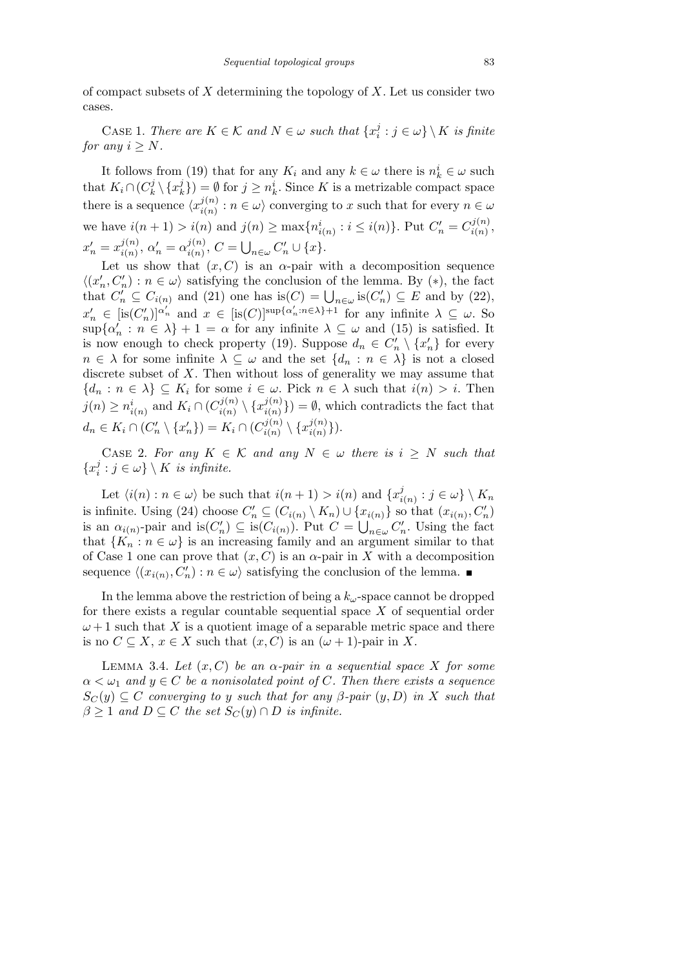of compact subsets of *X* determining the topology of *X*. Let us consider two cases.

CASE 1. *There are*  $K \in \mathcal{K}$  *and*  $N \in \omega$  *such that*  $\{x_i^j\}$  $\{G_i : j \in \omega\} \setminus K$  *is finite for any*  $i > N$ *.* 

It follows from (19) that for any  $K_i$  and any  $k \in \omega$  there is  $n_k^i \in \omega$  such that  $K_i \cap (C_k^j)$  $\{x_k^j\setminus\{x_k^j\}$  $h_k^j$ ) =  $\emptyset$  for  $j \geq n_k^i$ . Since *K* is a metrizable compact space there is a sequence  $\langle x_{i(n)}^{j(n)} \rangle$  $\int_{i(n)}^{j(n)}$ :  $n \in \omega$  converging to *x* such that for every  $n \in \omega$ we have  $i(n + 1) > i(n)$  and  $j(n) \ge \max\{n_{i(n)}^i : i \le i(n)\}\)$ . Put  $C'_n = C_{i(n)}^{j(n)}$  $\frac{j(n)}{i(n)},$  $x'_n = x^{j(n)}_{i(n)}$  $\alpha'_{i(n)}, \alpha'_{n} = \alpha^{j(n)}_{i(n)}$  $\binom{j(n)}{i(n)}, C =$  $\frac{3}{2}$  $C'_n \cup \{x\}.$ 

Let us show that  $(x, C)$  is an  $\alpha$ -pair with a decomposition sequence  $\langle (x'_n, C'_n) : n \in \omega \rangle$  satisfying the conclusion of the lemma. By  $(*)$ , the fact  $C_n, C_n$ :  $n \in \omega$  satisfying the concrusion of the femina. By (\*), the fact that  $C'_n \subseteq C_{i(n)}$  and (21) one has is $(C) = \bigcup_{n \in \omega}$  is $(C'_n) \subseteq E$  and by (22),  $x'_n \in [is(C'_n)]^{\alpha'_n}$  and  $x \in [is(C)]^{sup\{\alpha'_n : n \in \lambda\}+1}$  for any infinite  $\lambda \subseteq \omega$ . So  $\sup{\{\alpha'_n : n \in \lambda\}} + 1 = \alpha$  for any infinite  $\lambda \subseteq \omega$  and (15) is satisfied. It is now enough to check property (19). Suppose  $d_n \in C'_n \setminus \{x'_n\}$  for every  $n \in \lambda$  for some infinite  $\lambda \subseteq \omega$  and the set  $\{d_n : n \in \lambda\}$  is not a closed discrete subset of *X*. Then without loss of generality we may assume that  ${d_n : n \in \lambda} \subseteq K_i$  for some  $i \in \omega$ . Pick  $n \in \lambda$  such that  $i(n) > i$ . Then  $j(n) \geq n_{i(n)}^i$  and  $K_i \cap (C_{i(n)}^{j(n)})$  $\langle i(n) \rangle \setminus \{x_{i(n)}^{j(n)}\}$  $\binom{J(n)}{i(n)}$  =  $\emptyset$ , which contradicts the fact that  $d_n \in K_i \cap (C'_n \setminus \{x'_n\}) = K_i \cap (C^{j(n)}_{i(n)})$  $\{x_{i(n)}^{j(n)} \setminus \{x_{i(n)}^{j(n)}\}$  $\binom{j(n)}{i(n)}$ .

CASE 2. For any  $K \in \mathcal{K}$  and any  $N \in \omega$  there is  $i \geq N$  such that *{x j*  $j_i^j : j \in \omega\} \setminus K$  *is infinite.* 

Let  $\langle i(n) : n \in \omega \rangle$  be such that  $i(n+1) > i(n)$  and  $\{x_i^j\}$  $\{G_{i(n)} : j \in \omega\} \setminus K_n$ is infinite. Using (24) choose  $C'_n \subseteq (C_{i(n)} \setminus K_n) \cup \{x_{i(n)}\}$  so that  $(x_{i(n)}, C'_n)$ is an  $\alpha_{i(n)}$ -pair and is $(C'_n) \subseteq$  is $(C_{i(n)})$ . Put  $C = \bigcup_{n \in \omega} C'_n$ . Using the fact that  ${K_n : n \in \omega}$  is an increasing family and an argument similar to that of Case 1 one can prove that  $(x, C)$  is an  $\alpha$ -pair in X with a decomposition sequence  $\langle (x_{i(n)}, C'_n) : n \in \omega \rangle$  satisfying the conclusion of the lemma.

In the lemma above the restriction of being a  $k_{\omega}$ -space cannot be dropped for there exists a regular countable sequential space *X* of sequential order  $\omega + 1$  such that X is a quotient image of a separable metric space and there is no  $C \subseteq X$ ,  $x \in X$  such that  $(x, C)$  is an  $(\omega + 1)$ -pair in X.

LEMMA 3.4. Let  $(x, C)$  be an  $\alpha$ -pair in a sequential space X for some  $\alpha < \omega_1$  *and*  $y \in C$  *be a nonisolated point of C. Then there exists a sequence*  $S_C(y) \subseteq C$  *converging to y such that for any*  $\beta$ -pair  $(y, D)$  *in X such that*  $\beta \geq 1$  *and*  $D \subseteq C$  *the set*  $S_C(y) \cap D$  *is infinite.*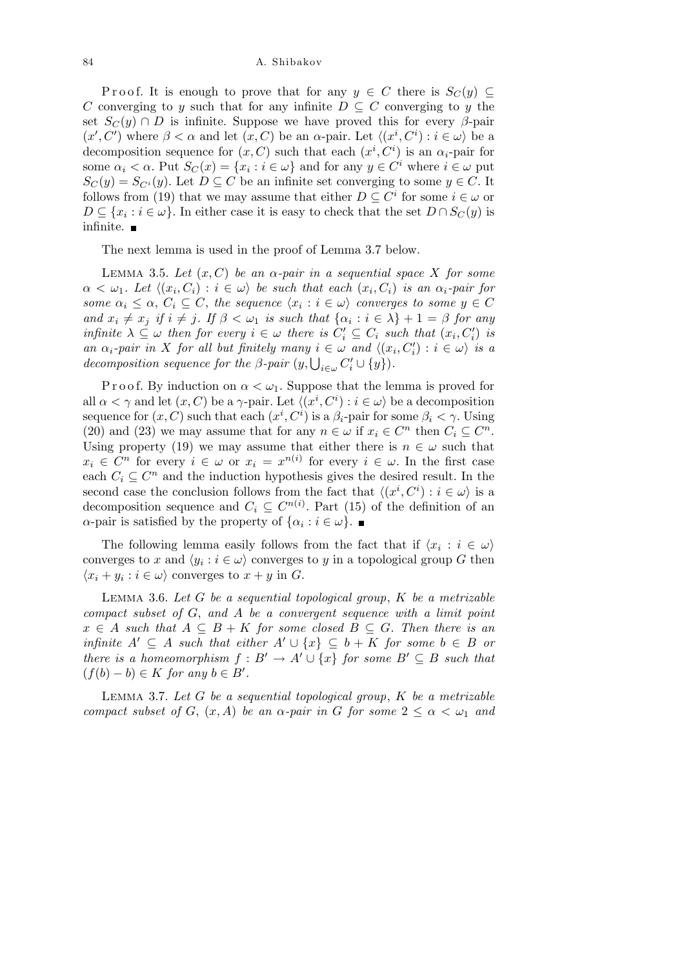84 A. Shibakov

Proof. It is enough to prove that for any  $y \in C$  there is  $S_C(y) \subseteq$ *C* converging to *y* such that for any infinite  $D \subseteq C$  converging to *y* the set  $S_C(y) \cap D$  is infinite. Suppose we have proved this for every  $\beta$ -pair  $(x', C')$  where  $\beta < \alpha$  and let  $(x, C)$  be an  $\alpha$ -pair. Let  $\langle (x^i, C^i) : i \in \omega \rangle$  be a decomposition sequence for  $(x, C)$  such that each  $(x^i, C^i)$  is an  $\alpha_i$ -pair for some  $\alpha_i < \alpha$ . Put  $S_C(x) = \{x_i : i \in \omega\}$  and for any  $y \in C^i$  where  $i \in \omega$  put  $S_C(y) = S_{C^i}(y)$ . Let  $D \subseteq C$  be an infinite set converging to some  $y \in C$ . It follows from (19) that we may assume that either  $D \subseteq C^i$  for some  $i \in \omega$  or  $D \subseteq \{x_i : i \in \omega\}$ . In either case it is easy to check that the set  $D \cap S_C(y)$  is infinite.  $\blacksquare$ 

The next lemma is used in the proof of Lemma 3.7 below.

Lemma 3.5. *Let* (*x, C*) *be an α-pair in a sequential space X for some*  $\alpha < \omega_1$ *. Let*  $\langle (x_i, C_i) : i \in \omega \rangle$  be such that each  $(x_i, C_i)$  is an  $\alpha_i$ -pair for *some*  $\alpha_i \leq \alpha$ ,  $C_i \subseteq C$ , the sequence  $\langle x_i : i \in \omega \rangle$  converges to some  $y \in C$ and  $x_i \neq x_j$  if  $i \neq j$ . If  $\beta < \omega_1$  is such that  $\{\alpha_i : i \in \lambda\} + 1 = \beta$  for any infinite  $\lambda \subseteq \omega$  then for every  $i \in \omega$  there is  $C_i' \subseteq C_i$  such that  $(x_i, C_i')$  is an  $\alpha_i$ -pair in X for all but finitely many  $i \in \omega$  and  $\langle (x_i, C'_i) : i \in \omega \rangle$  is a *decomposition sequence for the β-pair*  $(y, \bigcup_{i \in \omega} C_i' \cup \{y\})$ *.* 

P r o o f. By induction on  $\alpha < \omega_1$ . Suppose that the lemma is proved for all  $\alpha < \gamma$  and let  $(x, C)$  be a  $\gamma$ -pair. Let  $\langle (x^i, C^i) : i \in \omega \rangle$  be a decomposition sequence for  $(x, C)$  such that each  $(x^i, C^i)$  is a  $\beta_i$ -pair for some  $\beta_i < \gamma$ . Using (20) and (23) we may assume that for any  $n \in \omega$  if  $x_i \in C^n$  then  $C_i \subseteq C^n$ . Using property (19) we may assume that either there is  $n \in \omega$  such that  $x_i \in C^n$  for every  $i \in \omega$  or  $x_i = x^{n(i)}$  for every  $i \in \omega$ . In the first case each  $C_i \subseteq C^n$  and the induction hypothesis gives the desired result. In the second case the conclusion follows from the fact that  $\langle (x^i, C^i) : i \in \omega \rangle$  is a decomposition sequence and  $C_i \subseteq C^{n(i)}$ . Part (15) of the definition of an *α*-pair is satisfied by the property of  $\{\alpha_i : i \in \omega\}$ .

The following lemma easily follows from the fact that if  $\langle x_i : i \in \omega \rangle$ converges to *x* and  $\langle y_i : i \in \omega \rangle$  converges to *y* in a topological group *G* then  $\langle x_i + y_i : i \in \omega \rangle$  converges to  $x + y$  in *G*.

Lemma 3.6. *Let G be a sequential topological group*, *K be a metrizable compact subset of G*, *and A be a convergent sequence with a limit point*  $x \in A$  *such that*  $A \subseteq B + K$  *for some closed*  $B \subseteq G$ *. Then there is an infinite*  $A' \subseteq A$  *such that either*  $A' \cup \{x\} \subseteq b + K$  *for some*  $b \in B$  *or there is a homeomorphism*  $f : B' \to A' \cup \{x\}$  *for some*  $B' \subseteq B$  *such that*  $(f(b) - b) \in K$  *for any*  $b \in B'$ *.* 

Lemma 3.7. *Let G be a sequential topological group*, *K be a metrizable compact subset of G*,  $(x, A)$  *be an*  $\alpha$ -pair *in G for some*  $2 \leq \alpha \leq \omega_1$  *and*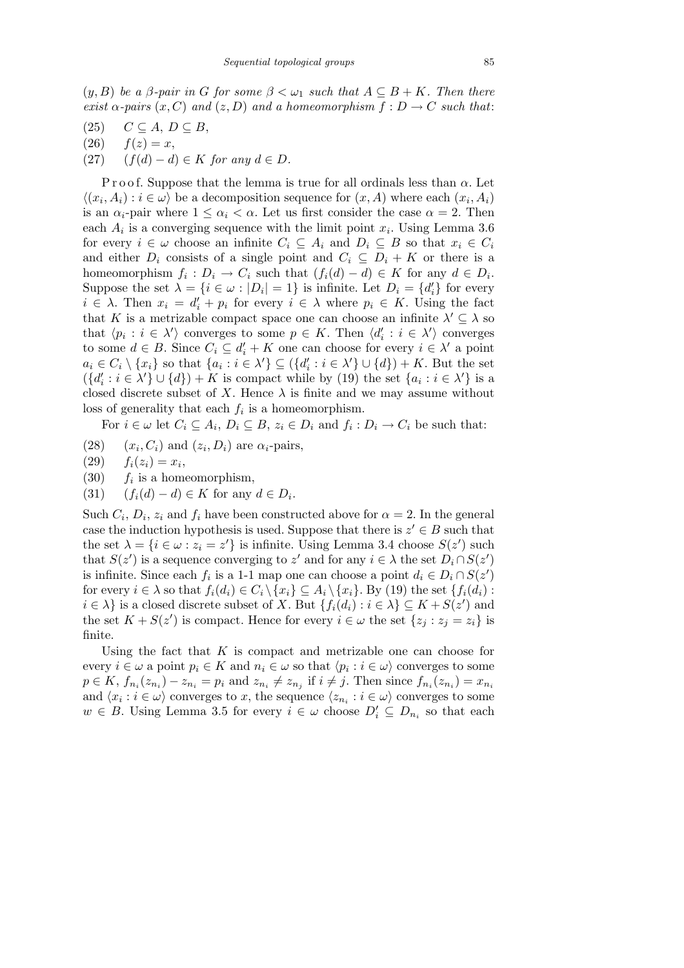$(y, B)$  *be a*  $\beta$ -pair in G for some  $\beta < \omega_1$  such that  $A \subseteq B + K$ . Then there *exist*  $\alpha$ -pairs  $(x, C)$  *and*  $(z, D)$  *and a homeomorphism*  $f : D \to C$  *such that:* 

- $(C \subseteq A, D \subseteq B,$
- $f(26)$   $f(z) = x$ ,
- (27)  $(f(d) d) \in K$  *for any*  $d \in D$ *.*

P r o o f. Suppose that the lemma is true for all ordinals less than *α*. Let  $\langle (x_i, A_i) : i \in \omega \rangle$  be a decomposition sequence for  $(x, A)$  where each  $(x_i, A_i)$ is an  $\alpha_i$ -pair where  $1 \leq \alpha_i < \alpha$ . Let us first consider the case  $\alpha = 2$ . Then each  $A_i$  is a converging sequence with the limit point  $x_i$ . Using Lemma 3.6 for every  $i \in \omega$  choose an infinite  $C_i \subseteq A_i$  and  $D_i \subseteq B$  so that  $x_i \in C_i$ and either  $D_i$  consists of a single point and  $C_i \subseteq D_i + K$  or there is a homeomorphism  $f_i: D_i \to C_i$  such that  $(f_i(d) - d) \in K$  for any  $d \in D_i$ . Suppose the set  $\lambda = \{i \in \omega : |D_i| = 1\}$  is infinite. Let  $D_i = \{d'_i\}$  for every  $i \in \lambda$ . Then  $x_i = d'_i + p_i$  for every  $i \in \lambda$  where  $p_i \in K$ . Using the fact that *K* is a metrizable compact space one can choose an infinite  $\lambda' \subseteq \lambda$  so that  $\langle p_i : i \in \lambda' \rangle$  converges to some  $p \in K$ . Then  $\langle d'_i : i \in \lambda' \rangle$  converges to some  $d \in B$ . Since  $C_i \subseteq d'_i + K$  one can choose for every  $i \in \lambda'$  a point  $a_i \in C_i \setminus \{x_i\}$  so that  $\{a_i : i \in \lambda'\} \subseteq (\{d'_i : i \in \lambda'\} \cup \{d\}) + K$ . But the set  $({d_i : i \in \lambda'} \cup {d}) + K$  is compact while by (19) the set  ${a_i : i \in \lambda'}$  is a closed discrete subset of *X*. Hence  $\lambda$  is finite and we may assume without loss of generality that each *f<sup>i</sup>* is a homeomorphism.

For  $i \in \omega$  let  $C_i \subseteq A_i$ ,  $D_i \subseteq B$ ,  $z_i \in D_i$  and  $f_i : D_i \to C_i$  be such that:

- $(28)$ *, C<sub>i</sub>*) and  $(z_i, D_i)$  are  $\alpha_i$ -pairs,
- $(29)$   $f_i(z_i) = x_i,$
- (30) *f<sup>i</sup>*  $f_i$  is a homeomorphism,
- (31)  $(f_i(d) d) \in K$  for any  $d \in D_i$ .

Such  $C_i$ ,  $D_i$ ,  $z_i$  and  $f_i$  have been constructed above for  $\alpha = 2$ . In the general case the induction hypothesis is used. Suppose that there is  $z' \in B$  such that the set  $\lambda = \{i \in \omega : z_i = z'\}$  is infinite. Using Lemma 3.4 choose  $S(z')$  such that  $S(z')$  is a sequence converging to  $z'$  and for any  $i \in \lambda$  the set  $D_i \cap S(z')$ is infinite. Since each  $f_i$  is a 1-1 map one can choose a point  $d_i \in D_i \cap S(z)$ for every  $i \in \lambda$  so that  $f_i(d_i) \in C_i \setminus \{x_i\} \subseteq A_i \setminus \{x_i\}$ . By (19) the set  $\{f_i(d_i):$  $i \in \lambda$  is a closed discrete subset of *X*. But  $\{f_i(d_i) : i \in \lambda\} \subseteq K + S(z')$  and the set  $K + S(z')$  is compact. Hence for every  $i \in \omega$  the set  $\{z_j : z_j = z_i\}$  is finite.

Using the fact that *K* is compact and metrizable one can choose for every  $i \in \omega$  a point  $p_i \in K$  and  $n_i \in \omega$  so that  $\langle p_i : i \in \omega \rangle$  converges to some  $p \in K$ ,  $f_{n_i}(z_{n_i}) - z_{n_i} = p_i$  and  $z_{n_i} \neq z_{n_j}$  if  $i \neq j$ . Then since  $f_{n_i}(z_{n_i}) = x_{n_i}$ and  $\langle x_i : i \in \omega \rangle$  converges to *x*, the sequence  $\langle z_{n_i} : i \in \omega \rangle$  converges to some *w* ∈ *B*. Using Lemma 3.5 for every  $i \in \omega$  choose  $D'_i \subseteq D_{n_i}$  so that each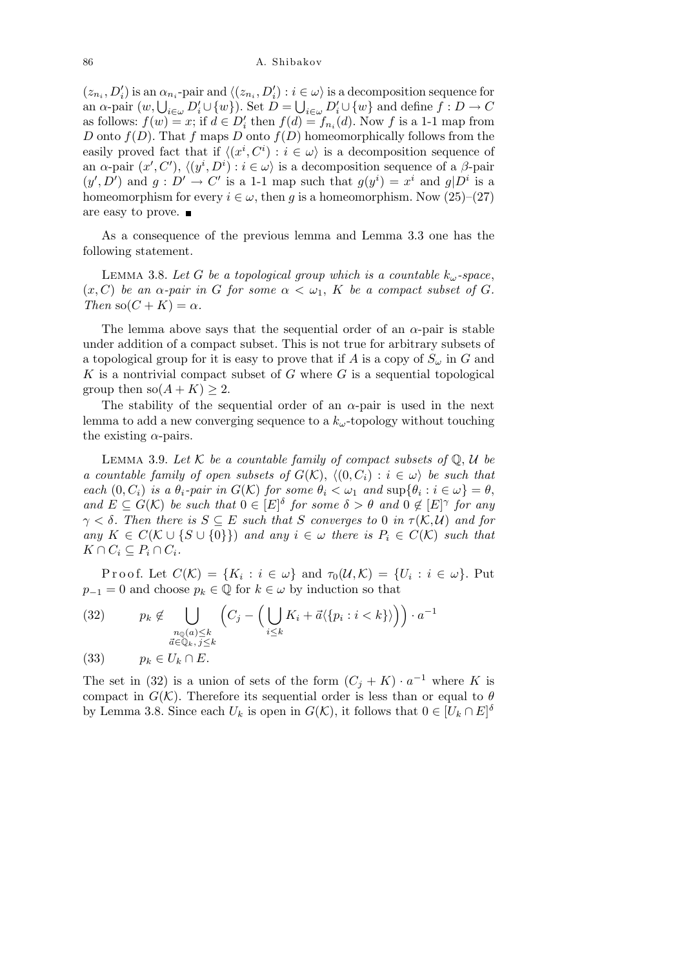$(z_{n_i}, D'_i)$  is an  $\alpha_{n_i}$ -pair and  $\langle (z_{n_i}, D'_i) : i \in \omega \rangle$  is a decomposition sequence for  $(z_{n_i}, D_i)$  is an  $\alpha_{n_i}$ -pair and  $\langle (z_{n_i}, D_i) : i \in \omega \rangle$  is a decomposition sequence for<br>an  $\alpha$ -pair  $(w, \bigcup_{i \in \omega} D'_i \cup \{w\})$ . Set  $D = \bigcup_{i \in \omega} D'_i \cup \{w\}$  and define  $f : D \to C$ as follows:  $f(w) = x$ ; if  $d \in D'_i$  then  $f(d) = f_{n_i}(d)$ . Now f is a 1-1 map from *D* onto  $f(D)$ . That  $f$  maps  $D$  onto  $f(D)$  homeomorphically follows from the easily proved fact that if  $\langle (x^i, C^i) : i \in \omega \rangle$  is a decomposition sequence of an  $\alpha$ -pair  $(x', C')$ ,  $\langle (y^i, D^i) : i \in \omega \rangle$  is a decomposition sequence of a  $\beta$ -pair  $(y', D')$  and  $g: D' \to C'$  is a 1-1 map such that  $g(y^i) = x^i$  and  $g(D^i$  is a homeomorphism for every  $i \in \omega$ , then *g* is a homeomorphism. Now (25)–(27) are easy to prove.

As a consequence of the previous lemma and Lemma 3.3 one has the following statement.

LEMMA 3.8. Let *G* be a topological group which is a countable  $k_\omega$ -space,  $(x, C)$  *be an*  $\alpha$ -pair in G for some  $\alpha < \omega_1$ , K *be a compact subset of* G. *Then*  $\text{so}(C + K) = \alpha$ *.* 

The lemma above says that the sequential order of an  $\alpha$ -pair is stable under addition of a compact subset. This is not true for arbitrary subsets of a topological group for it is easy to prove that if *A* is a copy of  $S_\omega$  in *G* and *K* is a nontrivial compact subset of *G* where *G* is a sequential topological group then  $\text{so}(A + K) \geq 2$ .

The stability of the sequential order of an  $\alpha$ -pair is used in the next lemma to add a new converging sequence to a *kω*-topology without touching the existing  $\alpha$ -pairs.

LEMMA 3.9. Let  $K$  be a countable family of compact subsets of  $\mathbb{Q}, \mathcal{U}$  be *a countable family of open subsets of*  $G(\mathcal{K})$ ,  $\langle (0, C_i) : i \in \omega \rangle$  *be such that* each  $(0, C_i)$  is a  $\theta_i$ -pair in  $G(\mathcal{K})$  for some  $\theta_i < \omega_1$  and  $\sup\{\theta_i : i \in \omega\} = \theta$ , *and*  $E \subseteq G(\mathcal{K})$  *be such that*  $0 \in [E]^{\delta}$  *for some*  $\delta > \theta$  *and*  $0 \notin [E]^{\gamma}$  *for any*  $\gamma < \delta$ *. Then there is*  $S \subseteq E$  *such that S converges to* 0 *in*  $\tau(K, \mathcal{U})$  *and for any*  $K ∈ C(K ∪ \{S ∪ \{0\}\})$  *and any*  $i ∈ ω$  *there is*  $P_i ∈ C(K)$  *such that*  $K \cap C_i \subseteq P_i \cap C_i$ .

Proof. Let  $C(\mathcal{K}) = \{K_i : i \in \omega\}$  and  $\tau_0(\mathcal{U}, \mathcal{K}) = \{U_i : i \in \omega\}$ . Put  $p_{-1} = 0$  and choose  $p_k \in \mathbb{Q}$  for  $k \in \omega$  by induction so that

(32) 
$$
p_k \notin \bigcup_{\substack{n_Q(a) \leq k \\ \vec{a} \in \mathbb{Q}_k, j \leq k}} \left( C_j - \Big( \bigcup_{i \leq k} K_i + \vec{a} \langle \{ p_i : i < k \} \rangle \Big) \right) \cdot a^{-1}
$$

(33)  $p_k \in U_k \cap E$ .

The set in (32) is a union of sets of the form  $(C_j + K) \cdot a^{-1}$  where K is compact in  $G(\mathcal{K})$ . Therefore its sequential order is less than or equal to  $\theta$ by Lemma 3.8. Since each  $U_k$  is open in  $G(\mathcal{K})$ , it follows that  $0 \in [U_k \cap E]^\delta$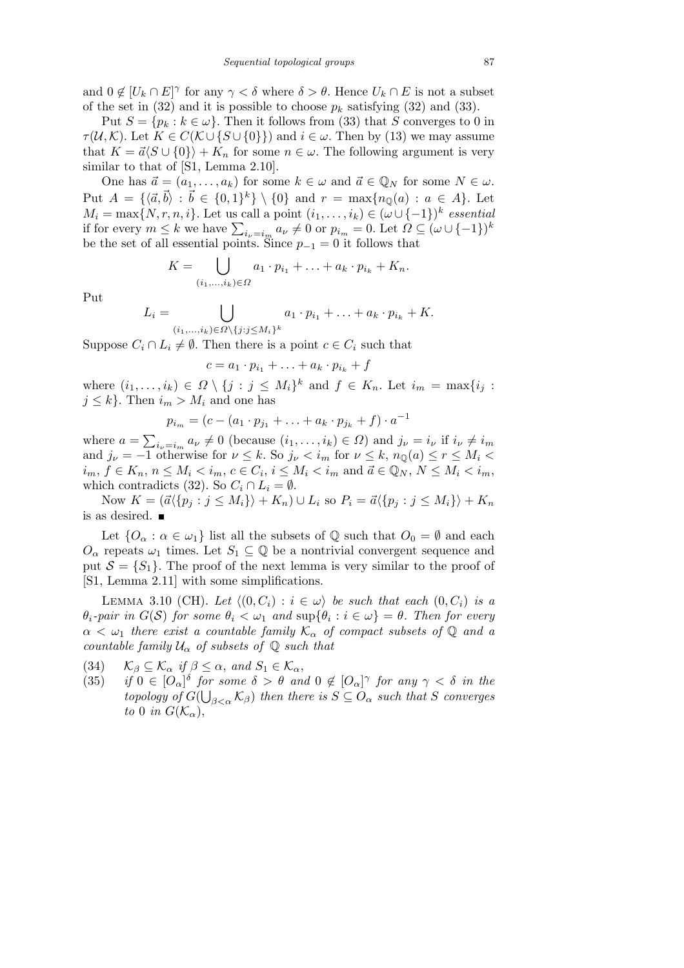and  $0 \notin [U_k \cap E]^\gamma$  for any  $\gamma < \delta$  where  $\delta > \theta$ . Hence  $U_k \cap E$  is not a subset of the set in  $(32)$  and it is possible to choose  $p_k$  satisfying  $(32)$  and  $(33)$ .

Put  $S = \{p_k : k \in \omega\}$ . Then it follows from (33) that *S* converges to 0 in *τ*(*U*, *K*). Let  $K \in C(\mathcal{K} \cup \{S \cup \{0\}\})$  and  $i \in \omega$ . Then by (13) we may assume that  $K = \vec{a} \langle S \cup \{0\} \rangle + K_n$  for some  $n \in \omega$ . The following argument is very similar to that of [S1, Lemma 2.10].

One has  $\vec{a} = (a_1, \ldots, a_k)$  for some  $k \in \omega$  and  $\vec{a} \in \mathbb{Q}_N$  for some  $N \in \omega$ . Put  $A = \{ \langle \vec{a}, \vec{b} \rangle : \vec{b} \in \{0, 1\}^k \} \setminus \{0\}$  and  $r = \max\{n_{\mathbb{Q}}(a) : a \in A\}$ . Let  $M_i = \max\{N, r, n, i\}$ . Let us call a point  $(i_1, \ldots, i_k) \in (\omega \cup \{-1\})^k$  essential  $m_i$  = max{ $N, r, n, \ell$ }. Let us can a point  $(\ell_1, \ldots, \ell_k) \in (\omega \cup \{-1\})^r$  essentially if for every  $m \leq k$  we have  $\sum_{i_\nu=i_m} a_\nu \neq 0$  or  $p_{i_m} = 0$ . Let  $\Omega \subseteq (\omega \cup \{-1\})^k$ be the set of all essential points. Since  $p_{-1} = 0$  it follows that  $\cdot$   $\cdot$ 

$$
K=\bigcup_{(i_1,\ldots,i_k)\in\Omega}a_1\cdot p_{i_1}+\ldots+a_k\cdot p_{i_k}+K_n.
$$

Put

$$
L_i = \bigcup_{(i_1,\ldots,i_k)\in\Omega\setminus\{j:j\leq M_i\}^k} a_1 \cdot p_{i_1} + \ldots + a_k \cdot p_{i_k} + K.
$$

Suppose  $C_i \cap L_i \neq \emptyset$ . Then there is a point  $c \in C_i$  such that

$$
c = a_1 \cdot p_{i_1} + \ldots + a_k \cdot p_{i_k} + f
$$

where  $(i_1, \ldots, i_k) \in \Omega \setminus \{j : j \leq M_i\}^k$  and  $f \in K_n$ . Let  $i_m = \max\{i_j : j \leq M_i\}$  $j \leq k$ . Then  $i_m > M_i$  and one has

$$
p_{i_m} = (c - (a_1 \cdot p_{j_1} + \ldots + a_k \cdot p_{j_k} + f) \cdot a^{-1}
$$

where  $a =$  $\overline{ }$  $i_{\nu} = i_m \ a_{\nu} \neq 0$  (because  $(i_1, \ldots, i_k) \in \Omega$ ) and  $j_{\nu} = i_{\nu}$  if  $i_{\nu} \neq i_m$ and  $j_{\nu} = -1$  otherwise for  $\nu \leq k$ . So  $j_{\nu} < i_m$  for  $\nu \leq k$ ,  $n_{\mathbb{Q}}(a) \leq r \leq M_i$  $i_m, f \in K_n$ ,  $n \le M_i < i_m$ ,  $c \in C_i$ ,  $i \le M_i < i_m$  and  $\vec{a} \in \mathbb{Q}_N$ ,  $N \le M_i < i_m$ , which contradicts (32). So  $C_i \cap L_i = \emptyset$ .

Now  $K = (\vec{a} \langle p_j : j \leq M_i \rangle) + K_n) \cup L_i$  so  $P_i = \vec{a} \langle p_j : j \leq M_i \rangle + K_n$ is as desired.

Let  ${O_{\alpha} : \alpha \in \omega_1}$  list all the subsets of Q such that  $O_0 = \emptyset$  and each  $O_\alpha$  repeats  $\omega_1$  times. Let  $S_1 \subseteq \mathbb{Q}$  be a nontrivial convergent sequence and put  $S = \{S_1\}$ . The proof of the next lemma is very similar to the proof of [S1, Lemma 2.11] with some simplifications.

LEMMA 3.10 (CH). Let  $\langle (0, C_i) : i \in \omega \rangle$  be such that each  $(0, C_i)$  is a  $\theta_i$ *-pair in*  $G(S)$  *for some*  $\theta_i < \omega_1$  *and*  $\sup{\{\theta_i : i \in \omega\}} = \theta$ *. Then for every*  $\alpha < \omega_1$  *there exist a countable family*  $\mathcal{K}_{\alpha}$  *of compact subsets of*  $\mathbb{Q}$  *and a countable family*  $U_{\alpha}$  *of subsets of*  $\mathbb{Q}$  *such that* 

- (34)  $\mathcal{K}_{\beta} \subseteq \mathcal{K}_{\alpha}$  *if*  $\beta \leq \alpha$ , and  $S_1 \in \mathcal{K}_{\alpha}$ ,
- (35) *if*  $0 \in [O_\alpha]^\delta$  *for some*  $\delta > \theta$  *and*  $0 \notin [O_\alpha]^\gamma$  *for any*  $\gamma < \delta$  *in the topology of*  $G(\bigcup_{\beta<\alpha}$   $\mathcal{K}_{\beta})$  *then there is*  $S \subseteq O_{\alpha}$  *such that S converges to* 0 *in*  $G(\mathcal{K}_{\alpha})$ ,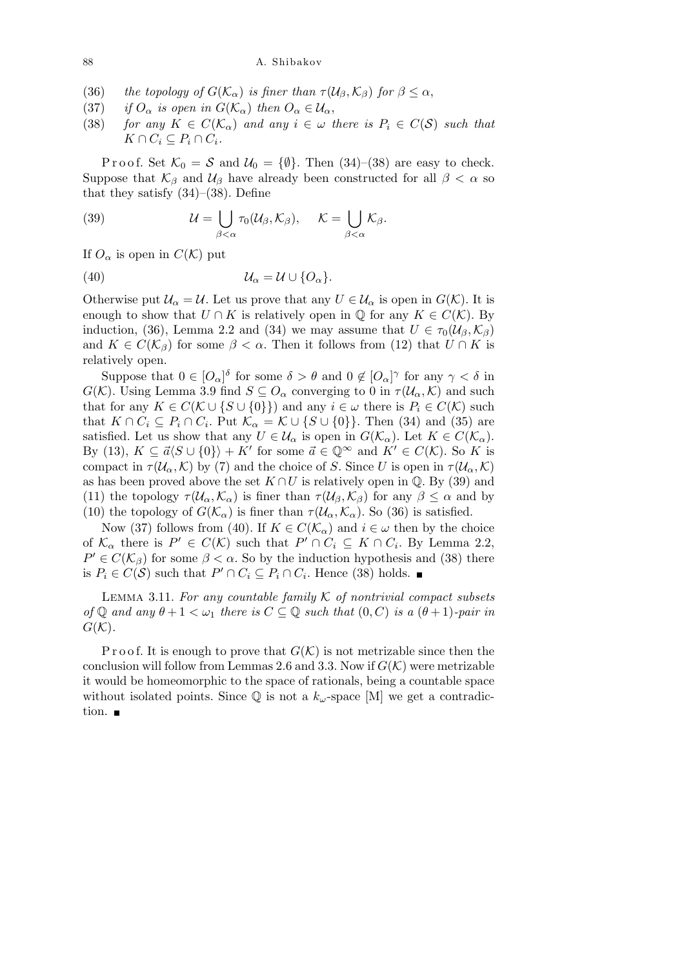88 A. Shibakov

- (36) *the topology of*  $G(\mathcal{K}_{\alpha})$  *is finer than*  $\tau(\mathcal{U}_{\beta}, \mathcal{K}_{\beta})$  *for*  $\beta \leq \alpha$ ,
- (37) *if*  $O_{\alpha}$  *is open in*  $G(\mathcal{K}_{\alpha})$  *then*  $O_{\alpha} \in \mathcal{U}_{\alpha}$ ,
- (38) *for any*  $K \in C(\mathcal{K}_{\alpha})$  *and any*  $i \in \omega$  *there is*  $P_i \in C(\mathcal{S})$  *such that*  $K \cap C_i \subseteq P_i \cap C_i$ .

P r o o f. Set  $K_0 = S$  and  $U_0 = {\emptyset}$ . Then (34)–(38) are easy to check. Suppose that  $K_\beta$  and  $U_\beta$  have already been constructed for all  $\beta < \alpha$  so that they satisfy  $(34)$ – $(38)$ . Define

(39) 
$$
\mathcal{U} = \bigcup_{\beta < \alpha} \tau_0(\mathcal{U}_{\beta}, \mathcal{K}_{\beta}), \quad \mathcal{K} = \bigcup_{\beta < \alpha} \mathcal{K}_{\beta}.
$$

If  $O_{\alpha}$  is open in  $C(\mathcal{K})$  put

(40) *U<sup>α</sup>* = *U ∪ {Oα}.*

Otherwise put  $\mathcal{U}_{\alpha} = \mathcal{U}$ . Let us prove that any  $U \in \mathcal{U}_{\alpha}$  is open in  $G(\mathcal{K})$ . It is enough to show that  $U \cap K$  is relatively open in  $\mathbb{Q}$  for any  $K \in C(\mathcal{K})$ . By induction, (36), Lemma 2.2 and (34) we may assume that  $U \in \tau_0(\mathcal{U}_\beta,\mathcal{K}_\beta)$ and  $K \in C(\mathcal{K}_{\beta})$  for some  $\beta < \alpha$ . Then it follows from (12) that  $U \cap K$  is relatively open.

Suppose that  $0 \in [O_\alpha]^\delta$  for some  $\delta > \theta$  and  $0 \notin [O_\alpha]^\gamma$  for any  $\gamma < \delta$  in *G*(*K*). Using Lemma 3.9 find  $S \subseteq O_\alpha$  converging to 0 in  $\tau(\mathcal{U}_\alpha, \mathcal{K})$  and such that for any  $K \in C(\mathcal{K} \cup \{S \cup \{0\}\})$  and any  $i \in \omega$  there is  $P_i \in C(\mathcal{K})$  such that  $K \cap C_i \subseteq P_i \cap C_i$ . Put  $\mathcal{K}_{\alpha} = \mathcal{K} \cup \{S \cup \{0\}\}\$ . Then (34) and (35) are satisfied. Let us show that any  $U \in \mathcal{U}_{\alpha}$  is open in  $G(\mathcal{K}_{\alpha})$ . Let  $K \in C(\mathcal{K}_{\alpha})$ . By (13),  $K \subseteq \vec{a} \langle S \cup \{0\}\rangle + K'$  for some  $\vec{a} \in \mathbb{Q}^{\infty}$  and  $K' \in C(\mathcal{K})$ . So K is compact in  $\tau(\mathcal{U}_{\alpha}, \mathcal{K})$  by (7) and the choice of *S*. Since *U* is open in  $\tau(\mathcal{U}_{\alpha}, \mathcal{K})$ as has been proved above the set  $K \cap U$  is relatively open in  $\mathbb{Q}$ . By (39) and (11) the topology  $\tau(\mathcal{U}_{\alpha}, \mathcal{K}_{\alpha})$  is finer than  $\tau(\mathcal{U}_{\beta}, \mathcal{K}_{\beta})$  for any  $\beta \leq \alpha$  and by (10) the topology of  $G(\mathcal{K}_{\alpha})$  is finer than  $\tau(\mathcal{U}_{\alpha}, \mathcal{K}_{\alpha})$ . So (36) is satisfied.

Now (37) follows from (40). If  $K \in C(\mathcal{K}_{\alpha})$  and  $i \in \omega$  then by the choice of  $K_{\alpha}$  there is  $P' \in C(K)$  such that  $P' \cap C_i \subseteq K \cap C_i$ . By Lemma 2.2,  $P' \in C(\mathcal{K}_{\beta})$  for some  $\beta < \alpha$ . So by the induction hypothesis and (38) there is  $P_i \in C(S)$  such that  $P' \cap C_i \subseteq P_i \cap C_i$ . Hence (38) holds.

Lemma 3.11. *For any countable family K of nontrivial compact subsets of*  $\mathbb{Q}$  *and any*  $\theta + 1 < \omega_1$  *there is*  $C \subseteq \mathbb{Q}$  *such that*  $(0, C)$  *is a*  $(\theta + 1)$ *-pair in*  $G(K)$ .

P r o o f. It is enough to prove that  $G(\mathcal{K})$  is not metrizable since then the conclusion will follow from Lemmas 2.6 and 3.3. Now if  $G(\mathcal{K})$  were metrizable it would be homeomorphic to the space of rationals, being a countable space without isolated points. Since  $\mathbb{Q}$  is not a  $k_{\omega}$ -space [M] we get a contradiction.  $\blacksquare$